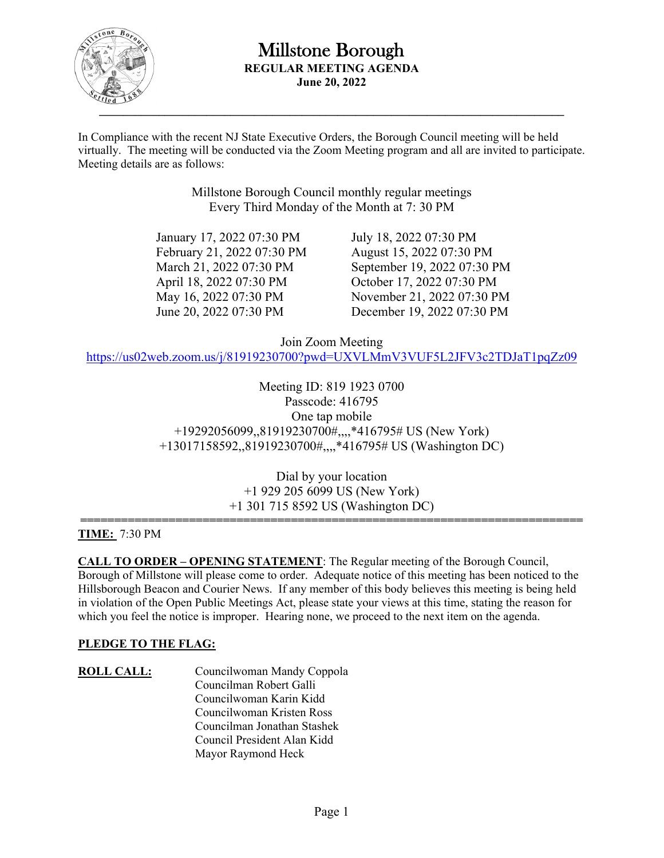

In Compliance with the recent NJ State Executive Orders, the Borough Council meeting will be held virtually. The meeting will be conducted via the Zoom Meeting program and all are invited to participate. Meeting details are as follows:

> Millstone Borough Council monthly regular meetings Every Third Monday of the Month at 7: 30 PM

 January 17, 2022 07:30 PM July 18, 2022 07:30 PM February 21, 2022 07:30 PM August 15, 2022 07:30 PM April 18, 2022 07:30 PM October 17, 2022 07:30 PM

 March 21, 2022 07:30 PM September 19, 2022 07:30 PM May 16, 2022 07:30 PM November 21, 2022 07:30 PM June 20, 2022 07:30 PM December 19, 2022 07:30 PM

Join Zoom Meeting

https://us02web.zoom.us/j/81919230700?pwd=UXVLMmV3VUF5L2JFV3c2TDJaT1pqZz09

Meeting ID: 819 1923 0700 Passcode: 416795 One tap mobile +19292056099,,81919230700#,,,,\*416795# US (New York) +13017158592,,81919230700#,,,,\*416795# US (Washington DC)

> Dial by your location +1 929 205 6099 US (New York) +1 301 715 8592 US (Washington DC)

#### **========================================================================== TIME:** 7:30 PM

**CALL TO ORDER – OPENING STATEMENT**: The Regular meeting of the Borough Council, Borough of Millstone will please come to order. Adequate notice of this meeting has been noticed to the Hillsborough Beacon and Courier News. If any member of this body believes this meeting is being held in violation of the Open Public Meetings Act, please state your views at this time, stating the reason for which you feel the notice is improper. Hearing none, we proceed to the next item on the agenda.

### **PLEDGE TO THE FLAG:**

**ROLL CALL:** Councilwoman Mandy Coppola Councilman Robert Galli Councilwoman Karin Kidd Councilwoman Kristen Ross Councilman Jonathan Stashek Council President Alan Kidd Mayor Raymond Heck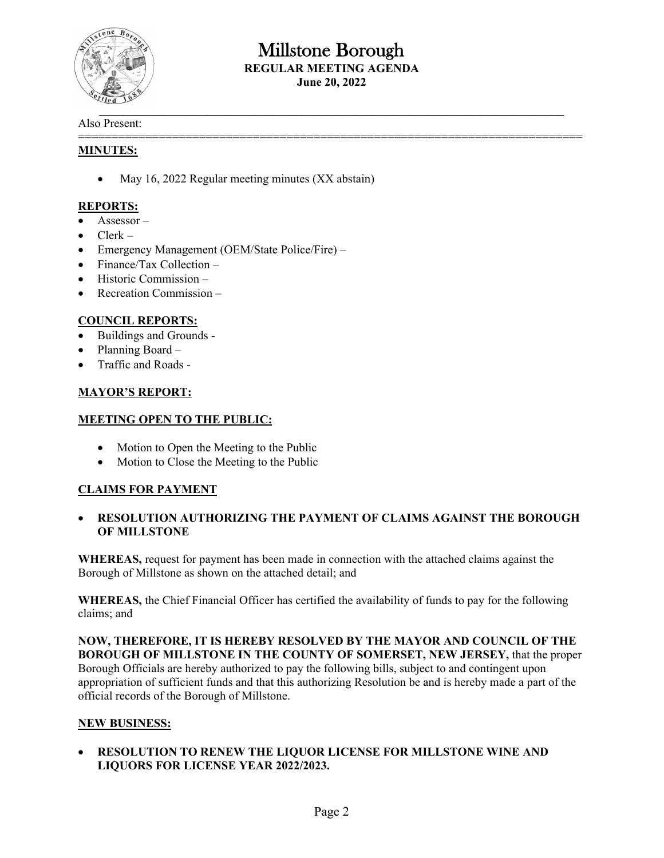

# Millstone Borough **REGULAR MEETING AGENDA**

**June 20, 2022** 

===========================================================================

#### Also Present:

#### **MINUTES:**

• May 16, 2022 Regular meeting minutes (XX abstain)

#### **REPORTS:**

- Assessor –
- $\bullet$  Clerk –
- Emergency Management (OEM/State Police/Fire) –
- Finance/Tax Collection –
- $\bullet$  Historic Commission –
- Recreation Commission –

### **COUNCIL REPORTS:**

- Buildings and Grounds -
- Planning Board –
- Traffic and Roads -

#### **MAYOR'S REPORT:**

#### **MEETING OPEN TO THE PUBLIC:**

- Motion to Open the Meeting to the Public
- Motion to Close the Meeting to the Public

### **CLAIMS FOR PAYMENT**

#### **RESOLUTION AUTHORIZING THE PAYMENT OF CLAIMS AGAINST THE BOROUGH OF MILLSTONE**

**WHEREAS,** request for payment has been made in connection with the attached claims against the Borough of Millstone as shown on the attached detail; and

**WHEREAS,** the Chief Financial Officer has certified the availability of funds to pay for the following claims; and

**NOW, THEREFORE, IT IS HEREBY RESOLVED BY THE MAYOR AND COUNCIL OF THE BOROUGH OF MILLSTONE IN THE COUNTY OF SOMERSET, NEW JERSEY,** that the proper Borough Officials are hereby authorized to pay the following bills, subject to and contingent upon appropriation of sufficient funds and that this authorizing Resolution be and is hereby made a part of the official records of the Borough of Millstone.

#### **NEW BUSINESS:**

 **RESOLUTION TO RENEW THE LIQUOR LICENSE FOR MILLSTONE WINE AND LIQUORS FOR LICENSE YEAR 2022/2023.**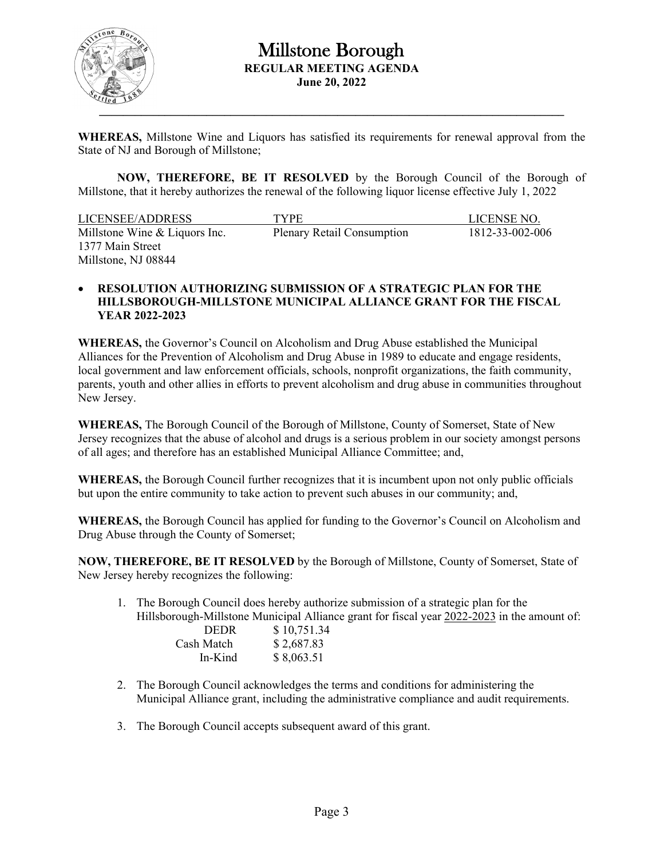

**WHEREAS,** Millstone Wine and Liquors has satisfied its requirements for renewal approval from the State of NJ and Borough of Millstone;

 **NOW, THEREFORE, BE IT RESOLVED** by the Borough Council of the Borough of Millstone, that it hereby authorizes the renewal of the following liquor license effective July 1, 2022

| LICENSEE/ADDRESS              | <b>TYPE</b>                       | LICENSE NO.     |
|-------------------------------|-----------------------------------|-----------------|
| Millstone Wine & Liquors Inc. | <b>Plenary Retail Consumption</b> | 1812-33-002-006 |
| 1377 Main Street              |                                   |                 |
| Millstone, NJ 08844           |                                   |                 |

#### **RESOLUTION AUTHORIZING SUBMISSION OF A STRATEGIC PLAN FOR THE HILLSBOROUGH-MILLSTONE MUNICIPAL ALLIANCE GRANT FOR THE FISCAL YEAR 2022-2023**

**WHEREAS,** the Governor's Council on Alcoholism and Drug Abuse established the Municipal Alliances for the Prevention of Alcoholism and Drug Abuse in 1989 to educate and engage residents, local government and law enforcement officials, schools, nonprofit organizations, the faith community, parents, youth and other allies in efforts to prevent alcoholism and drug abuse in communities throughout New Jersey.

**WHEREAS,** The Borough Council of the Borough of Millstone, County of Somerset, State of New Jersey recognizes that the abuse of alcohol and drugs is a serious problem in our society amongst persons of all ages; and therefore has an established Municipal Alliance Committee; and,

**WHEREAS,** the Borough Council further recognizes that it is incumbent upon not only public officials but upon the entire community to take action to prevent such abuses in our community; and,

**WHEREAS,** the Borough Council has applied for funding to the Governor's Council on Alcoholism and Drug Abuse through the County of Somerset;

**NOW, THEREFORE, BE IT RESOLVED** by the Borough of Millstone, County of Somerset, State of New Jersey hereby recognizes the following:

1. The Borough Council does hereby authorize submission of a strategic plan for the Hillsborough-Millstone Municipal Alliance grant for fiscal year 2022-2023 in the amount of:

| <b>DEDR</b> | \$10,751.34 |
|-------------|-------------|
| Cash Match  | \$2,687.83  |
| In-Kind     | \$8,063.51  |

- 2. The Borough Council acknowledges the terms and conditions for administering the Municipal Alliance grant, including the administrative compliance and audit requirements.
- 3. The Borough Council accepts subsequent award of this grant.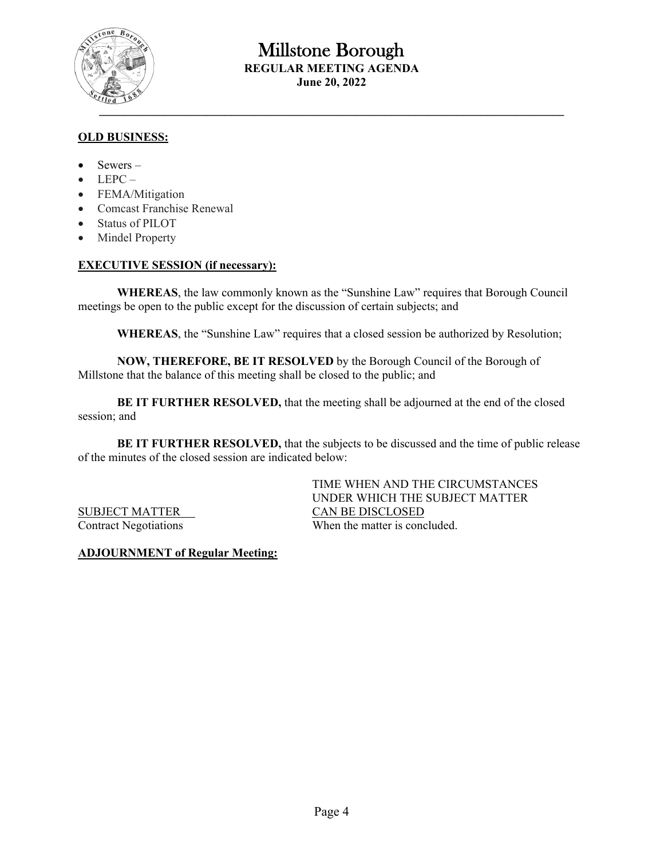

## **OLD BUSINESS:**

- $\bullet$  Sewers –
- $\bullet$  LEPC –
- FEMA/Mitigation
- Comcast Franchise Renewal
- Status of PILOT
- Mindel Property

#### **EXECUTIVE SESSION (if necessary):**

**WHEREAS**, the law commonly known as the "Sunshine Law" requires that Borough Council meetings be open to the public except for the discussion of certain subjects; and

**WHEREAS**, the "Sunshine Law" requires that a closed session be authorized by Resolution;

**NOW, THEREFORE, BE IT RESOLVED** by the Borough Council of the Borough of Millstone that the balance of this meeting shall be closed to the public; and

**BE IT FURTHER RESOLVED,** that the meeting shall be adjourned at the end of the closed session; and

BE IT FURTHER RESOLVED, that the subjects to be discussed and the time of public release of the minutes of the closed session are indicated below:

 TIME WHEN AND THE CIRCUMSTANCES UNDER WHICH THE SUBJECT MATTER SUBJECT MATTER CAN BE DISCLOSED Contract Negotiations When the matter is concluded.

**ADJOURNMENT of Regular Meeting:**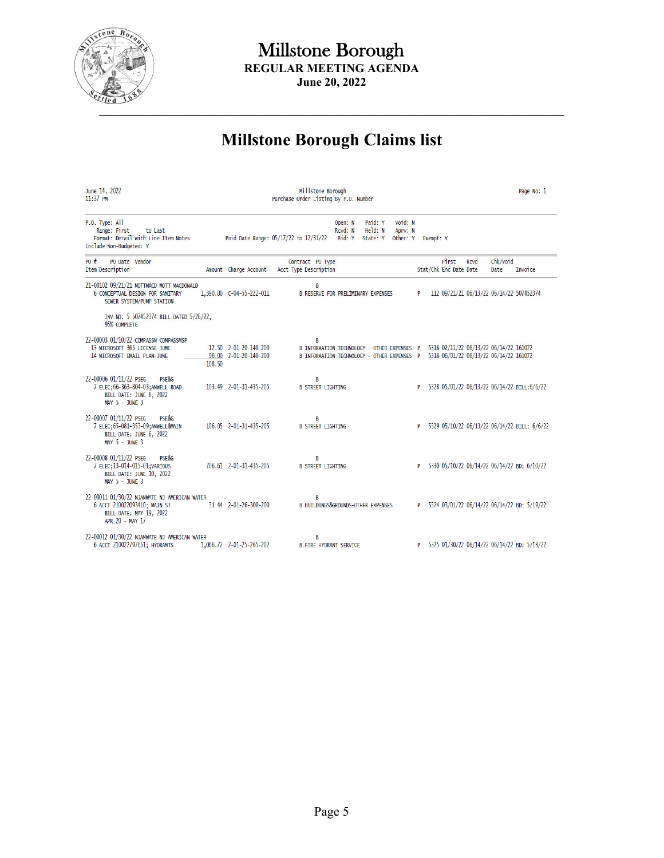

# **Millstone Borough Claims list**

| June 14, 2022<br>$11:37$ PM                                                                                                         |        |                                                | Millstone Borough<br>Purchase Order Listing By P.O. Number |                                                                                            |                                |                                          |          |                                 |                                                                                  |                  | Page No: 1                                    |
|-------------------------------------------------------------------------------------------------------------------------------------|--------|------------------------------------------------|------------------------------------------------------------|--------------------------------------------------------------------------------------------|--------------------------------|------------------------------------------|----------|---------------------------------|----------------------------------------------------------------------------------|------------------|-----------------------------------------------|
| P.O. Type: All<br>Range: First<br>to Last<br>Format: Detail with Line Item Notes<br>Include Non-Budgeted: Y                         |        |                                                | Paid Date Range: 05/17/22 to 12/31/22                      | Open: N<br>Rcvd: N<br>Bid: Y                                                               | Paid: Y<br>Held: N<br>State: Y | Void: N<br>Aprv: N<br>Other: Y Exempt: Y |          |                                 |                                                                                  |                  |                                               |
| $P_0$ #<br>PO Date Vendor<br><b>Item Description</b>                                                                                |        | Amount Charge Account                          | Contract PO Type<br>Acct Type Description                  |                                                                                            |                                |                                          |          | First<br>Stat/Chk Enc Date Date | Rcvd                                                                             | Chk/Void<br>Date | Invoice                                       |
| 21-00102 09/21/21 MOTTMACD MOTT MACDONALD<br><b>6 CONCEPTUAL DESIGN FOR SANITARY</b><br>SEWER SYSTEM/PUMP STATION                   |        | 1,390.00 C-04-55-222-011                       | B                                                          | <b>B RESERVE FOR PRELIMINARY EXPENSES</b>                                                  |                                |                                          | P        |                                 |                                                                                  |                  | 112 09/21/21 06/13/22 06/14/22 507452374      |
| INV NO. 5 507452374 BILL DATED 5/26/22,<br>95% COMPLETE                                                                             |        |                                                |                                                            |                                                                                            |                                |                                          |          |                                 |                                                                                  |                  |                                               |
| 22-00003 01/10/22 COMPASSM COMPASSMSP<br>13 MICROSOFT 365 LICENSE-JUNE<br>14 MICROSOFT EMAIL PLAN-JUNE                              | 108.50 | 12.50 2-01-20-140-200<br>96.00 2-01-20-140-200 | B                                                          | B INFORMATION TECHNOLOGY - OTHER EXPENSES P<br>B INFORMATION TECHNOLOGY - OTHER EXPENSES P |                                |                                          |          |                                 | 5316 02/11/22 06/13/22 06/14/22 161072<br>5316 06/01/22 06/13/22 06/14/22 161072 |                  |                                               |
| 22-00006 01/11/22 PSEG<br><b>PSE&amp;G</b><br>7 ELEC; 66-363-804-03; AMWELL ROAD<br>BILL DATE: JUNE 6, 2022<br>MAY $5 - JUNE$ 3     |        | 103.49 2-01-31-435-205                         | В<br><b>B STREET LIGHTING</b>                              |                                                                                            |                                |                                          | <b>P</b> |                                 |                                                                                  |                  | 5328 05/01/22 06/13/22 06/14/22 BILL:6/6/22   |
| 22-00007 01/11/22 PSEG<br>PSF&G<br>7 ELEC; 65-081-353-09; AMWELL&MAIN<br>BILL DATE: JUNE 6, 2022<br>MAY 5 - JUNE 3                  |        | 106.05 2-01-31-435-205                         | R<br><b>B STREET LIGHTING</b>                              |                                                                                            |                                |                                          | P        |                                 |                                                                                  |                  | 5329 05/10/22 06/13/22 06/14/22 BILL: 6/6/22  |
| 22-00008 01/11/22 PSEG<br><b>PSE&amp;G</b><br>7 ELEC; 13-014-015-01; VARIOUS<br><b>BILL DATE: JUNE 10, 2022</b><br>$MAY$ 5 - JUNE 3 |        | 706.61 2-01-31-435-205                         | В<br><b>B STREET LIGHTING</b>                              |                                                                                            |                                |                                          | P.       |                                 |                                                                                  |                  | 5330 05/10/22 06/14/22 06/14/22 BD: 6/10/22   |
| 22-00011 01/30/22 NJAMWATE NJ AMERICAN WATER<br>6 ACCT 210022093410; MAIN ST<br>BILL DATE: MAY 19, 2022<br>APR 20 - MAY 17          |        | 31.44 2-01-26-300-200                          | B                                                          | <b>B BUILDINGS&amp;GROUNDS-OTHER EXPENSES</b>                                              |                                |                                          | P        |                                 |                                                                                  |                  | 5324 03/01/22 06/14/22 06/14/22 BD: 5/19/22   |
| 22-00012 01/30/22 NJAMWATE NJ AMERICAN WATER<br>6 ACCT 210022797651; HYDRANTS                                                       |        | 1,066.72 2-01-25-265-202                       | В<br><b>B FIRE HYDRANT SERVICE</b>                         |                                                                                            |                                |                                          |          |                                 |                                                                                  |                  | P 5325 01/30/22 06/14/22 06/14/22 BD: 5/18/22 |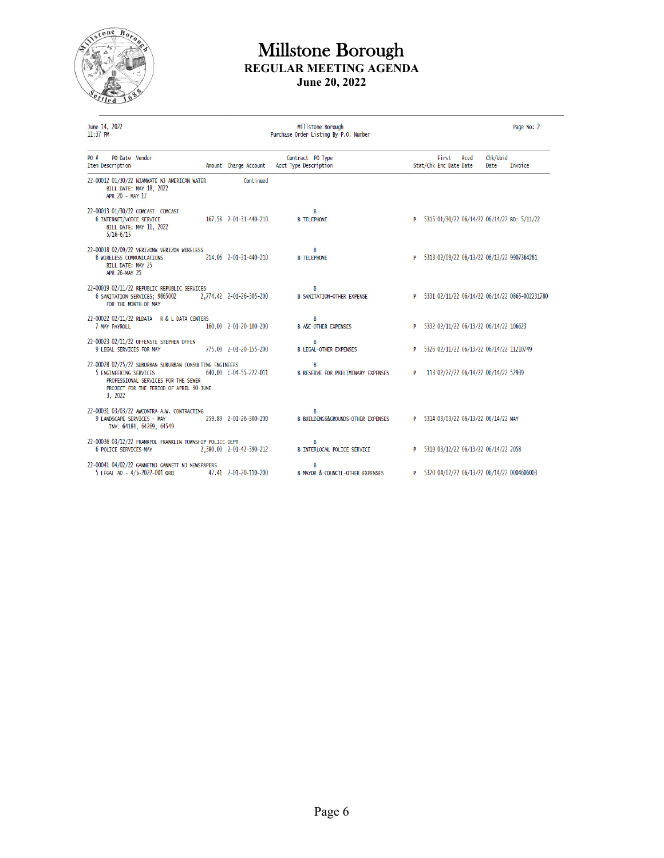

June 14, 2022<br>11:37 PM

# Millstone Borough<br>Purchase Order Listing By P.O. Number

Page No: 2

| PO#<br>PO Date Vendor<br>Item Description                                                                                                                                       | Amount Charge Account    | Contract PO Type<br>Acct Type Description          |   | First<br>Stat/Chk Enc Date Date | <b>RCVd</b> | Chk/Void<br>Date                         | <b>Invoice</b>                                   |
|---------------------------------------------------------------------------------------------------------------------------------------------------------------------------------|--------------------------|----------------------------------------------------|---|---------------------------------|-------------|------------------------------------------|--------------------------------------------------|
| 22-00012 01/30/22 NJAMWATE NJ AMERICAN WATER<br>BILL DATE: MAY 18, 2022<br>APR 20 - MAY 17                                                                                      | Continued                |                                                    |   |                                 |             |                                          |                                                  |
| 22-00013 01/30/22 COMCAST COMCAST<br><b>6 INTERNET/VOICE SERVICE</b><br><b>BILL DATE: MAY 11, 2022</b><br>$5/16 - 6/15$                                                         | 167.58 2-01-31-440-210   | B<br><b>B TELEPHONE</b>                            |   |                                 |             |                                          | P 5315 01/30/22 06/14/22 06/14/22 BD: 5/11/22    |
| 22-00018 02/09/22 VERIZONW VERIZON WIRELESS<br><b>6 WIRELESS COMMUNICATIONS</b><br>BILL DATE: MAY 25<br>APR 26-MAY 25                                                           | 214.06 2-01-31-440-210   | B<br><b>B TELEPHONE</b>                            |   |                                 |             |                                          | P 5313 02/09/22 06/13/22 06/13/22 9907364281     |
| 22-00019 02/11/22 REPUBLIC REPUBLIC SERVICES<br>6 SANITATION SERVICES; 9865002<br>FOR THE MONTH OF MAY                                                                          | 2,774.42 2-01-26-305-200 | R<br><b>B SANITATION-OTHER EXPENSE</b>             |   |                                 |             |                                          | P 5331 02/11/22 06/14/22 06/14/22 0865-002231780 |
| 22-00022 02/11/22 RLDATA R & L DATA CENTERS<br>7 MAY PAYROLL                                                                                                                    | 160.00  2-01-20-100-200  | R<br><b>B A&amp;E-OTHER EXPENSES</b>               |   |                                 |             | P 5332 02/11/22 06/13/22 06/14/22 106623 |                                                  |
| 22-00023 02/11/22 OFFENSTE STEPHEN OFFEN<br>9 LEGAL SERVICES FOR MAY                                                                                                            | 775.00 2-01-20-155-200   | B<br><b>B LEGAL-OTHER EXPENSES</b>                 | P |                                 |             | 5326 02/11/22 06/13/22 06/14/22 11210749 |                                                  |
| 22-00028 02/25/22 SUBURBAN SUBURBAN CONSULTING ENGINEERS<br>5 ENGINEERING SERVICES<br>PROFESSIONAL SERVICES FOR THE SEWER<br>PROJECT FOR THE PERIOD OF APRIL 30-JUNE<br>3, 2022 | 640.00 C-04-55-222-011   | B<br><b>B RESERVE FOR PRELIMINARY EXPENSES</b>     | P |                                 |             | 113 02/27/22 06/14/22 06/14/22 52939     |                                                  |
| 22-00031 03/03/22 AWCONTRA A.W. CONTRACTING<br>9 LANDSCAPE SERVICES - MAY<br>INV. 64184, 64269, 64549                                                                           | 259.89 2-01-26-300-200   | B<br><b>B BUILDINGS&amp;GROUNDS-OTHER EXPENSES</b> |   |                                 |             | P 5314 03/03/22 06/13/22 06/14/22 MAY    |                                                  |
| 22-00036 03/12/22 FRANKPOL FRANKLIN TOWNSHIP POLICE DEPT<br>6 POLICE SERVICES-MAY                                                                                               | 2,380.00 2-01-42-390-212 | R<br><b>B INTERLOCAL POLICE SERVICE</b>            |   |                                 |             | P 5319 03/12/22 06/13/22 06/14/22 2058   |                                                  |
| 22-00041 04/02/22 GANNETNJ GANNETT NJ NEWSPAPERS<br>5 LEGAL AD - 4/5-2022-001 ORD                                                                                               | 42.41 2-01-20-110-200    | B<br><b>B MAYOR &amp; COUNCIL-OTHER EXPENSES</b>   | P |                                 |             |                                          | 5320 04/02/22 06/13/22 06/14/22 0004606003       |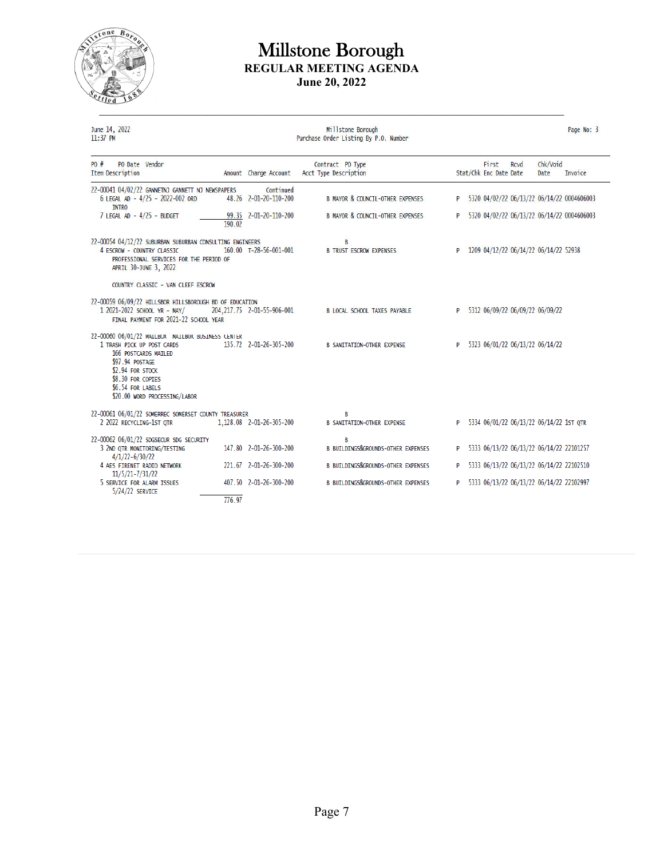

June 14, 2022<br>11:37 PM

Millstone Borough<br>Purchase Order Listing By P.O. Number

Page No: 3

| $P_0$ #<br>PO Date Vendor<br>Item Description                                                                                                                                                                             |        | Amount Charge Account              | Contract PO Type<br>Acct Type Description          |          | First<br>Stat/Chk Enc Date Date | Rcvd | Chk/Void<br>Date                         | Invoice                                    |
|---------------------------------------------------------------------------------------------------------------------------------------------------------------------------------------------------------------------------|--------|------------------------------------|----------------------------------------------------|----------|---------------------------------|------|------------------------------------------|--------------------------------------------|
| 22-00041 04/02/22 GANNETNJ GANNETT NJ NEWSPAPERS<br>6 LEGAL AD - 4/25 - 2022-002 ORD<br><b>INTRO</b>                                                                                                                      |        | Continued<br>48.26 2-01-20-110-200 | <b>B MAYOR &amp; COUNCIL-OTHER EXPENSES</b>        | P        |                                 |      |                                          | 5320 04/02/22 06/13/22 06/14/22 0004606003 |
| 7 LEGAL AD - 4/25 - BUDGET                                                                                                                                                                                                | 190.02 | 99.35 2-01-20-110-200              | <b>B MAYOR &amp; COUNCIL-OTHER EXPENSES</b>        | P        |                                 |      |                                          | 5320 04/02/22 06/13/22 06/14/22 0004606003 |
| 22-00054 04/12/22 SUBURBAN SUBURBAN CONSULTING ENGINEERS<br>4 ESCROW - COUNTRY CLASSIC<br>PROFESSTONAL SERVICES FOR THE PERTOD OF<br>APRIL 30-JUNE 3, 2022                                                                |        | 160.00 T-28-56-001-001             | B<br><b>B TRUST ESCROW EXPENSES</b>                |          |                                 |      | 1209 04/12/22 06/14/22 06/14/22 52938    |                                            |
| COUNTRY CLASSIC - VAN CLEEF ESCROW                                                                                                                                                                                        |        |                                    |                                                    |          |                                 |      |                                          |                                            |
| 22-00059 06/09/22 HILLSBOR HILLSBOROUGH BD OF EDUCATION<br>1 2021-2022 SCHOOL YR - MAY/<br>FINAL PAYMENT FOR 2021-22 SCHOOL YEAR                                                                                          |        | 204, 217.75 2-01-55-906-001        | <b>B LOCAL SCHOOL TAXES PAYABLE</b>                | <b>P</b> |                                 |      | 5312 06/09/22 06/09/22 06/09/22          |                                            |
| 22-00060 06/01/22 MAILBOX MAILBOX BUSINESS CENTER<br>1 TRASH PICK UP POST CARDS<br>166 POSTCARDS MAILED<br>\$97.94 POSTAGE<br>\$2.94 FOR STOCK<br>\$8.30 FOR COPIES<br>\$6.54 FOR LABELS<br>\$20.00 WORD PROCESSING/LABOR |        | 135.72  2-01-26-305-200            | <b>B SANITATION-OTHER EXPENSE</b>                  | P        |                                 |      | 5323 06/01/22 06/13/22 06/14/22          |                                            |
| 22-00061 06/01/22 SOMERREC SOMERSET COUNTY TREASURER<br>2 2022 RECYCLING-1ST OTR                                                                                                                                          |        | 1,128.08 2-01-26-305-200           | B<br><b>B SANITATION-OTHER EXPENSE</b>             | P.       |                                 |      | 5334 06/01/22 06/13/22 06/14/22 1ST QTR  |                                            |
| 22-00062 06/01/22 SDGSECUR SDG SECURITY<br>3 2ND QTR MONITORING/TESTING<br>$4/1/22 - 6/30/22$                                                                                                                             |        | 147.80 2-01-26-300-200             | B<br><b>B BUILDINGS&amp;GROUNDS-OTHER EXPENSES</b> | P        |                                 |      | 5333 06/13/22 06/13/22 06/14/22 22101257 |                                            |
| 4 AES FIRENET RADIO NETWORK<br>11/5/21-7/31/22                                                                                                                                                                            |        | 221.67 2-01-26-300-200             | <b>B BUILDINGS&amp;GROUNDS-OTHER EXPENSES</b>      | P        |                                 |      | 5333 06/13/22 06/13/22 06/14/22 22102510 |                                            |
| 5 SERVICE FOR ALARM ISSUES<br>5/24/22 SERVICE                                                                                                                                                                             |        | 407.50 2-01-26-300-200             | <b>B BUILDINGS&amp;GROUNDS-OTHER EXPENSES</b>      | P.       |                                 |      | 5333 06/13/22 06/13/22 06/14/22 22102997 |                                            |
|                                                                                                                                                                                                                           | 776.97 |                                    |                                                    |          |                                 |      |                                          |                                            |